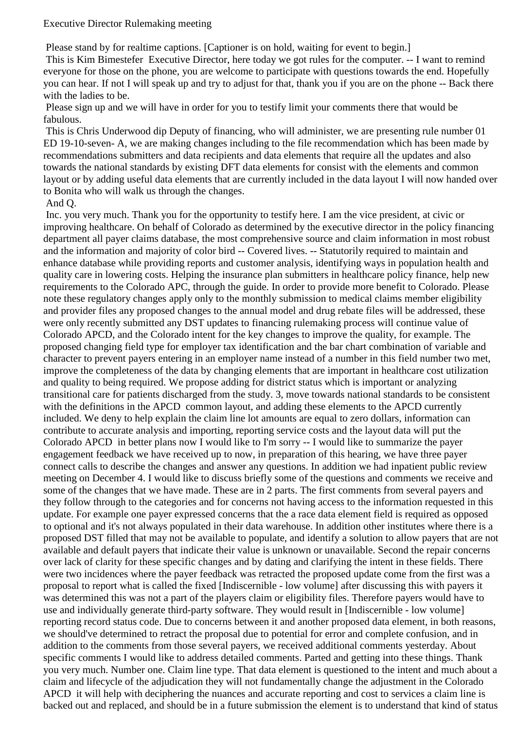## Executive Director Rulemaking meeting

Please stand by for realtime captions. [Captioner is on hold, waiting for event to begin.]

This is Kim Bimestefer Executive Director, here today we got rules for the computer. -- I want to remind everyone for those on the phone, you are welcome to participate with questions towards the end. Hopefully you can hear. If not I will speak up and try to adjust for that, thank you if you are on the phone -- Back there with the ladies to be.

Please sign up and we will have in order for you to testify limit your comments there that would be fabulous.

This is Chris Underwood dip Deputy of financing, who will administer, we are presenting rule number 01 ED 19-10-seven- A, we are making changes including to the file recommendation which has been made by recommendations submitters and data recipients and data elements that require all the updates and also towards the national standards by existing DFT data elements for consist with the elements and common layout or by adding useful data elements that are currently included in the data layout I will now handed over to Bonita who will walk us through the changes.

## And Q.

Inc. you very much. Thank you for the opportunity to testify here. I am the vice president, at civic or improving healthcare. On behalf of Colorado as determined by the executive director in the policy financing department all payer claims database, the most comprehensive source and claim information in most robust and the information and majority of color bird -- Covered lives. -- Statutorily required to maintain and enhance database while providing reports and customer analysis, identifying ways in population health and quality care in lowering costs. Helping the insurance plan submitters in healthcare policy finance, help new requirements to the Colorado APC, through the guide. In order to provide more benefit to Colorado. Please note these regulatory changes apply only to the monthly submission to medical claims member eligibility and provider files any proposed changes to the annual model and drug rebate files will be addressed, these were only recently submitted any DST updates to financing rulemaking process will continue value of Colorado APCD, and the Colorado intent for the key changes to improve the quality, for example. The proposed changing field type for employer tax identification and the bar chart combination of variable and character to prevent payers entering in an employer name instead of a number in this field number two met, improve the completeness of the data by changing elements that are important in healthcare cost utilization and quality to being required. We propose adding for district status which is important or analyzing transitional care for patients discharged from the study. 3, move towards national standards to be consistent with the definitions in the APCD common layout, and adding these elements to the APCD currently included. We deny to help explain the claim line lot amounts are equal to zero dollars, information can contribute to accurate analysis and importing, reporting service costs and the layout data will put the Colorado APCD in better plans now I would like to I'm sorry -- I would like to summarize the payer engagement feedback we have received up to now, in preparation of this hearing, we have three payer connect calls to describe the changes and answer any questions. In addition we had inpatient public review meeting on December 4. I would like to discuss briefly some of the questions and comments we receive and some of the changes that we have made. These are in 2 parts. The first comments from several payers and they follow through to the categories and for concerns not having access to the information requested in this update. For example one payer expressed concerns that the a race data element field is required as opposed to optional and it's not always populated in their data warehouse. In addition other institutes where there is a proposed DST filled that may not be available to populate, and identify a solution to allow payers that are not available and default payers that indicate their value is unknown or unavailable. Second the repair concerns over lack of clarity for these specific changes and by dating and clarifying the intent in these fields. There were two incidences where the payer feedback was retracted the proposed update come from the first was a proposal to report what is called the fixed [Indiscernible - low volume] after discussing this with payers it was determined this was not a part of the players claim or eligibility files. Therefore payers would have to use and individually generate third-party software. They would result in [Indiscernible - low volume] reporting record status code. Due to concerns between it and another proposed data element, in both reasons, we should've determined to retract the proposal due to potential for error and complete confusion, and in addition to the comments from those several payers, we received additional comments yesterday. About specific comments I would like to address detailed comments. Parted and getting into these things. Thank you very much. Number one. Claim line type. That data element is questioned to the intent and much about a claim and lifecycle of the adjudication they will not fundamentally change the adjustment in the Colorado APCD it will help with deciphering the nuances and accurate reporting and cost to services a claim line is backed out and replaced, and should be in a future submission the element is to understand that kind of status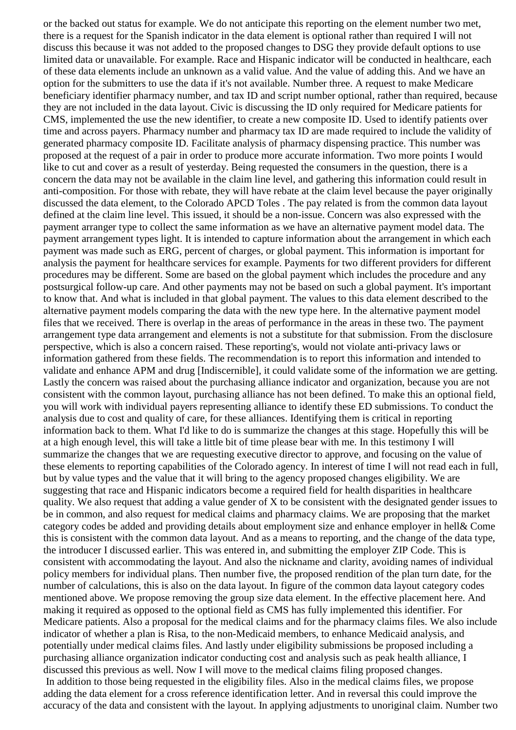or the backed out status for example. We do not anticipate this reporting on the element number two met, there is a request for the Spanish indicator in the data element is optional rather than required I will not discuss this because it was not added to the proposed changes to DSG they provide default options to use limited data or unavailable. For example. Race and Hispanic indicator will be conducted in healthcare, each of these data elements include an unknown as a valid value. And the value of adding this. And we have an option for the submitters to use the data if it's not available. Number three. A request to make Medicare beneficiary identifier pharmacy number, and tax ID and script number optional, rather than required, because they are not included in the data layout. Civic is discussing the ID only required for Medicare patients for CMS, implemented the use the new identifier, to create a new composite ID. Used to identify patients over time and across payers. Pharmacy number and pharmacy tax ID are made required to include the validity of generated pharmacy composite ID. Facilitate analysis of pharmacy dispensing practice. This number was proposed at the request of a pair in order to produce more accurate information. Two more points I would like to cut and cover as a result of yesterday. Being requested the consumers in the question, there is a concern the data may not be available in the claim line level, and gathering this information could result in anti-composition. For those with rebate, they will have rebate at the claim level because the payer originally discussed the data element, to the Colorado APCD Toles . The pay related is from the common data layout defined at the claim line level. This issued, it should be a non-issue. Concern was also expressed with the payment arranger type to collect the same information as we have an alternative payment model data. The payment arrangement types light. It is intended to capture information about the arrangement in which each payment was made such as ERG, percent of charges, or global payment. This information is important for analysis the payment for healthcare services for example. Payments for two different providers for different procedures may be different. Some are based on the global payment which includes the procedure and any postsurgical follow-up care. And other payments may not be based on such a global payment. It's important to know that. And what is included in that global payment. The values to this data element described to the alternative payment models comparing the data with the new type here. In the alternative payment model files that we received. There is overlap in the areas of performance in the areas in these two. The payment arrangement type data arrangement and elements is not a substitute for that submission. From the disclosure perspective, which is also a concern raised. These reporting's, would not violate anti-privacy laws or information gathered from these fields. The recommendation is to report this information and intended to validate and enhance APM and drug [Indiscernible], it could validate some of the information we are getting. Lastly the concern was raised about the purchasing alliance indicator and organization, because you are not consistent with the common layout, purchasing alliance has not been defined. To make this an optional field, you will work with individual payers representing alliance to identify these ED submissions. To conduct the analysis due to cost and quality of care, for these alliances. Identifying them is critical in reporting information back to them. What I'd like to do is summarize the changes at this stage. Hopefully this will be at a high enough level, this will take a little bit of time please bear with me. In this testimony I will summarize the changes that we are requesting executive director to approve, and focusing on the value of these elements to reporting capabilities of the Colorado agency. In interest of time I will not read each in full, but by value types and the value that it will bring to the agency proposed changes eligibility. We are suggesting that race and Hispanic indicators become a required field for health disparities in healthcare quality. We also request that adding a value gender of X to be consistent with the designated gender issues to be in common, and also request for medical claims and pharmacy claims. We are proposing that the market category codes be added and providing details about employment size and enhance employer in hell& Come this is consistent with the common data layout. And as a means to reporting, and the change of the data type, the introducer I discussed earlier. This was entered in, and submitting the employer ZIP Code. This is consistent with accommodating the layout. And also the nickname and clarity, avoiding names of individual policy members for individual plans. Then number five, the proposed rendition of the plan turn date, for the number of calculations, this is also on the data layout. In figure of the common data layout category codes mentioned above. We propose removing the group size data element. In the effective placement here. And making it required as opposed to the optional field as CMS has fully implemented this identifier. For Medicare patients. Also a proposal for the medical claims and for the pharmacy claims files. We also include indicator of whether a plan is Risa, to the non-Medicaid members, to enhance Medicaid analysis, and potentially under medical claims files. And lastly under eligibility submissions be proposed including a purchasing alliance organization indicator conducting cost and analysis such as peak health alliance, I discussed this previous as well. Now I will move to the medical claims filing proposed changes. In addition to those being requested in the eligibility files. Also in the medical claims files, we propose adding the data element for a cross reference identification letter. And in reversal this could improve the accuracy of the data and consistent with the layout. In applying adjustments to unoriginal claim. Number two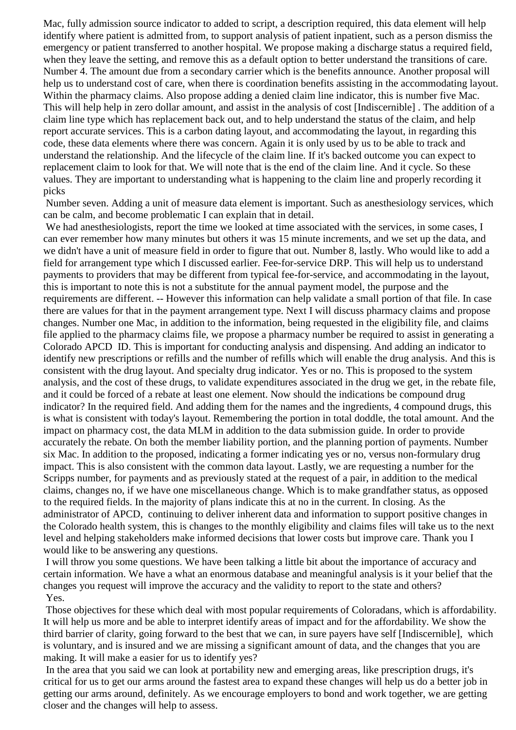Mac, fully admission source indicator to added to script, a description required, this data element will help identify where patient is admitted from, to support analysis of patient inpatient, such as a person dismiss the emergency or patient transferred to another hospital. We propose making a discharge status a required field, when they leave the setting, and remove this as a default option to better understand the transitions of care. Number 4. The amount due from a secondary carrier which is the benefits announce. Another proposal will help us to understand cost of care, when there is coordination benefits assisting in the accommodating layout. Within the pharmacy claims. Also propose adding a denied claim line indicator, this is number five Mac. This will help help in zero dollar amount, and assist in the analysis of cost [Indiscernible] . The addition of a claim line type which has replacement back out, and to help understand the status of the claim, and help report accurate services. This is a carbon dating layout, and accommodating the layout, in regarding this code, these data elements where there was concern. Again it is only used by us to be able to track and understand the relationship. And the lifecycle of the claim line. If it's backed outcome you can expect to replacement claim to look for that. We will note that is the end of the claim line. And it cycle. So these values. They are important to understanding what is happening to the claim line and properly recording it picks

Number seven. Adding a unit of measure data element is important. Such as anesthesiology services, which can be calm, and become problematic I can explain that in detail.

We had anesthesiologists, report the time we looked at time associated with the services, in some cases, I can ever remember how many minutes but others it was 15 minute increments, and we set up the data, and we didn't have a unit of measure field in order to figure that out. Number 8, lastly. Who would like to add a field for arrangement type which I discussed earlier. Fee-for-service DRP. This will help us to understand payments to providers that may be different from typical fee-for-service, and accommodating in the layout, this is important to note this is not a substitute for the annual payment model, the purpose and the requirements are different. -- However this information can help validate a small portion of that file. In case there are values for that in the payment arrangement type. Next I will discuss pharmacy claims and propose changes. Number one Mac, in addition to the information, being requested in the eligibility file, and claims file applied to the pharmacy claims file, we propose a pharmacy number be required to assist in generating a Colorado APCD ID. This is important for conducting analysis and dispensing. And adding an indicator to identify new prescriptions or refills and the number of refills which will enable the drug analysis. And this is consistent with the drug layout. And specialty drug indicator. Yes or no. This is proposed to the system analysis, and the cost of these drugs, to validate expenditures associated in the drug we get, in the rebate file, and it could be forced of a rebate at least one element. Now should the indications be compound drug indicator? In the required field. And adding them for the names and the ingredients, 4 compound drugs, this is what is consistent with today's layout. Remembering the portion in total doddle, the total amount. And the impact on pharmacy cost, the data MLM in addition to the data submission guide. In order to provide accurately the rebate. On both the member liability portion, and the planning portion of payments. Number six Mac. In addition to the proposed, indicating a former indicating yes or no, versus non-formulary drug impact. This is also consistent with the common data layout. Lastly, we are requesting a number for the Scripps number, for payments and as previously stated at the request of a pair, in addition to the medical claims, changes no, if we have one miscellaneous change. Which is to make grandfather status, as opposed to the required fields. In the majority of plans indicate this at no in the current. In closing. As the administrator of APCD, continuing to deliver inherent data and information to support positive changes in the Colorado health system, this is changes to the monthly eligibility and claims files will take us to the next level and helping stakeholders make informed decisions that lower costs but improve care. Thank you I would like to be answering any questions.

I will throw you some questions. We have been talking a little bit about the importance of accuracy and certain information. We have a what an enormous database and meaningful analysis is it your belief that the changes you request will improve the accuracy and the validity to report to the state and others? Yes.

Those objectives for these which deal with most popular requirements of Coloradans, which is affordability. It will help us more and be able to interpret identify areas of impact and for the affordability. We show the third barrier of clarity, going forward to the best that we can, in sure payers have self [Indiscernible], which is voluntary, and is insured and we are missing a significant amount of data, and the changes that you are making. It will make a easier for us to identify yes?

In the area that you said we can look at portability new and emerging areas, like prescription drugs, it's critical for us to get our arms around the fastest area to expand these changes will help us do a better job in getting our arms around, definitely. As we encourage employers to bond and work together, we are getting closer and the changes will help to assess.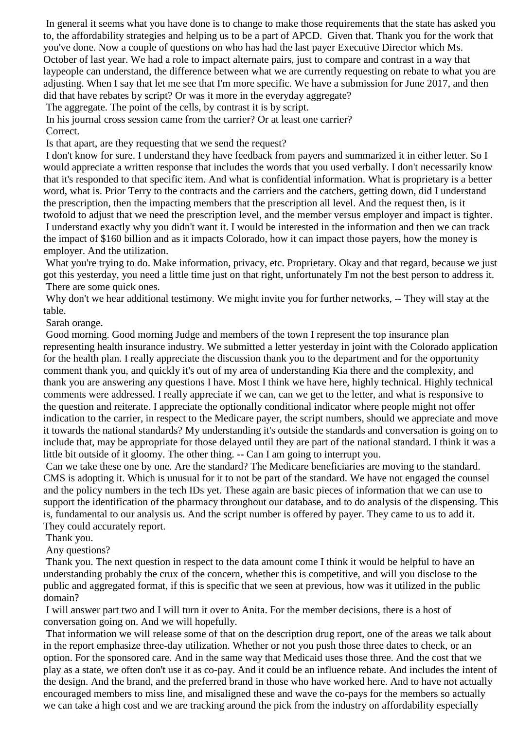In general it seems what you have done is to change to make those requirements that the state has asked you to, the affordability strategies and helping us to be a part of APCD. Given that. Thank you for the work that you've done. Now a couple of questions on who has had the last payer Executive Director which Ms. October of last year. We had a role to impact alternate pairs, just to compare and contrast in a way that laypeople can understand, the difference between what we are currently requesting on rebate to what you are adjusting. When I say that let me see that I'm more specific. We have a submission for June 2017, and then did that have rebates by script? Or was it more in the everyday aggregate?

The aggregate. The point of the cells, by contrast it is by script.

In his journal cross session came from the carrier? Or at least one carrier? Correct.

Is that apart, are they requesting that we send the request?

I don't know for sure. I understand they have feedback from payers and summarized it in either letter. So I would appreciate a written response that includes the words that you used verbally. I don't necessarily know that it's responded to that specific item. And what is confidential information. What is proprietary is a better word, what is. Prior Terry to the contracts and the carriers and the catchers, getting down, did I understand the prescription, then the impacting members that the prescription all level. And the request then, is it twofold to adjust that we need the prescription level, and the member versus employer and impact is tighter. I understand exactly why you didn't want it. I would be interested in the information and then we can track the impact of \$160 billion and as it impacts Colorado, how it can impact those payers, how the money is employer. And the utilization.

What you're trying to do. Make information, privacy, etc. Proprietary. Okay and that regard, because we just got this yesterday, you need a little time just on that right, unfortunately I'm not the best person to address it. There are some quick ones.

Why don't we hear additional testimony. We might invite you for further networks, -- They will stay at the table.

Sarah orange.

Good morning. Good morning Judge and members of the town I represent the top insurance plan representing health insurance industry. We submitted a letter yesterday in joint with the Colorado application for the health plan. I really appreciate the discussion thank you to the department and for the opportunity comment thank you, and quickly it's out of my area of understanding Kia there and the complexity, and thank you are answering any questions I have. Most I think we have here, highly technical. Highly technical comments were addressed. I really appreciate if we can, can we get to the letter, and what is responsive to the question and reiterate. I appreciate the optionally conditional indicator where people might not offer indication to the carrier, in respect to the Medicare payer, the script numbers, should we appreciate and move it towards the national standards? My understanding it's outside the standards and conversation is going on to include that, may be appropriate for those delayed until they are part of the national standard. I think it was a little bit outside of it gloomy. The other thing. -- Can I am going to interrupt you.

Can we take these one by one. Are the standard? The Medicare beneficiaries are moving to the standard. CMS is adopting it. Which is unusual for it to not be part of the standard. We have not engaged the counsel and the policy numbers in the tech IDs yet. These again are basic pieces of information that we can use to support the identification of the pharmacy throughout our database, and to do analysis of the dispensing. This is, fundamental to our analysis us. And the script number is offered by payer. They came to us to add it. They could accurately report.

Thank you.

Any questions?

Thank you. The next question in respect to the data amount come I think it would be helpful to have an understanding probably the crux of the concern, whether this is competitive, and will you disclose to the public and aggregated format, if this is specific that we seen at previous, how was it utilized in the public domain?

I will answer part two and I will turn it over to Anita. For the member decisions, there is a host of conversation going on. And we will hopefully.

That information we will release some of that on the description drug report, one of the areas we talk about in the report emphasize three-day utilization. Whether or not you push those three dates to check, or an option. For the sponsored care. And in the same way that Medicaid uses those three. And the cost that we play as a state, we often don't use it as co-pay. And it could be an influence rebate. And includes the intent of the design. And the brand, and the preferred brand in those who have worked here. And to have not actually encouraged members to miss line, and misaligned these and wave the co-pays for the members so actually we can take a high cost and we are tracking around the pick from the industry on affordability especially